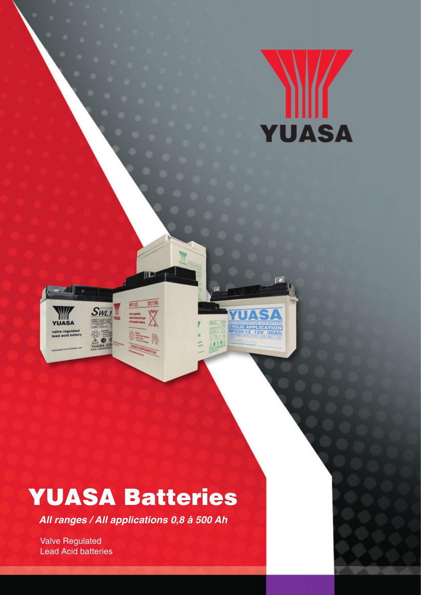



# YUASA Batteries

III E

12017Ah

 $0<sup>1</sup>$ 

**All ranges / All applications 0,8 à 500 Ah**

Valve Regulated Lead Acid batteries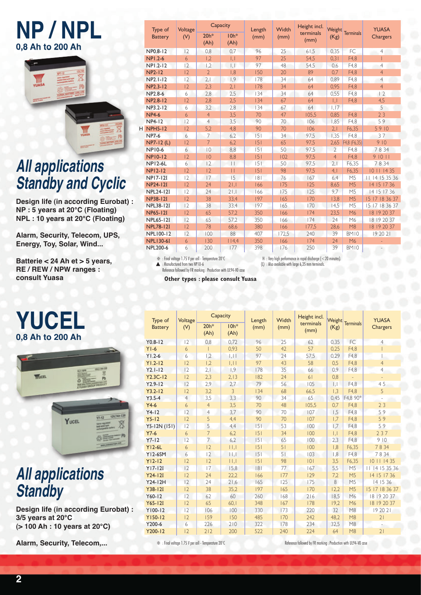## **NP / NPL 0,8 Ah to 200 Ah**



# **All applications Standby and Cyclic**

**Design life (in according Eurobat) : NP : 5 years at 20°C (Floating) NPL : 10 years at 20°C (Floating)**

**Alarm, Security, Telecom, UPS, Energy, Toy, Solar, Wind...**

**Batterie < 24 Ah et > 5 years, RE / REW / NPW ranges : consult Yuasa**

## **YUCEL 0,8 Ah to 200 Ah**



## **All applications Standby**

**Design life (in according Eurobat) : 3/5 years at 20°C (> 100 Ah : 10 years at 20°C)**

**Alarm, Security, Telecom,...**

|  | Type of          | Voltage     | Capacity       |                 | Length | Width | Height incl.      | Weight                   |                  | <b>YUASA</b>    |
|--|------------------|-------------|----------------|-----------------|--------|-------|-------------------|--------------------------|------------------|-----------------|
|  | <b>Battery</b>   | (V)         | $20h*$<br>(Ah) | $10h*$<br>(Ah)  | (mm)   | (mm)  | terminals<br>(mm) | (Kg)                     | <b>Terminals</b> | <b>Chargers</b> |
|  | NP0.8-12         | 12          | 0.8            | 0.7             | 96     | 25    | 61.5              | 0.35                     | FC               | 4               |
|  | <b>NPI.2-6</b>   | 6           | 1,2            | $\mathbf{L}$    | 97     | 25    | 54,5              | 0.31                     | F4.8             |                 |
|  | NP1.2-12         | 12          | 1,2            | $\mathsf{L}$    | 97     | 48    | 54,5              | 0,6                      | F4,8             | $\overline{4}$  |
|  | <b>NP2-12</b>    | 12          | $\overline{2}$ | 1.8             | 150    | 20    | 89                | 0.7                      | F4.8             | $\overline{4}$  |
|  | NP2.1-12         | 12          | 2,1            | 1,9             | 178    | 34    | 64                | 0,89                     | F4.8             | $\overline{4}$  |
|  | NP2.3-12         | 12          | 2,3            | 2.1             | 178    | 34    | 64                | 0,95                     | F4,8             | $\overline{4}$  |
|  | NP2.8-6          | 6           | 2,8            | 2,5             | 134    | 34    | 64                | 0,55                     | F4.8             | 2               |
|  | NP2.8-12         | 12          | 2,8            | 2,5             | 134    | 67    | 64                | $\overline{1,1}$         | F4,8             | 4,5             |
|  | NP3.2-12         | 6           | 3,2            | 2,8             | 134    | 67    | 64                | 1.17                     |                  | 5               |
|  | <b>NP4-6</b>     | 6           | $\overline{4}$ | 3,5             | 70     | 47    | 105,5             | 0.85                     | F4.8             | 23              |
|  | <b>NP4-12</b>    | 12          | $\overline{4}$ | 3.5             | 90     | 70    | 106               | 1.85                     | F4.8             | 59              |
|  | <b>H</b> NPH5-12 | 12          | 5,2            | 4,8             | 90     | 70    | 106               | 2.1                      | F6.35            | 5910            |
|  | <b>NP7-6</b>     | 6           | 7              | 6,2             | 5      | 34    | 97,5              | 1,35                     | F4,8             | 37              |
|  | NP7-12 (L)       | 12          | $\overline{7}$ | 6.2             | 5      | 65    | 97,5              | 2,65                     | F4,8 (F6,35)     | 910             |
|  | <b>NP10-6</b>    | 6           | $ 0\rangle$    | 8,8             | 5      | 50    | 97,5              | $\overline{\phantom{a}}$ | F4,8             | 7834            |
|  | <b>NP10-12</b>   | 2           | 10             | 8,8             | 151    | 102   | 97,5              | $\overline{4}$           | F4,8             | 91011           |
|  | <b>NP12-6L</b>   | 6           | 12             | $\vert \ \vert$ | 5      | 50    | 97,5              | 2,1                      | F6,35            | 7834            |
|  | <b>NP12-12</b>   | 12          | 12             | $\mathbf{H}$    | 5      | 98    | 97,5              | 4,1                      | F6,35            | 10 11 14 35     |
|  | <b>NP17-12I</b>  | 12          | 17             | 15              | 8      | 76    | 167               | 6,4                      | M <sub>5</sub>   | 11 14 15 35 36  |
|  | <b>NP24-12I</b>  | 12          | 74             | 21.1            | 166    | 175   | 125               | 8,65                     | M <sub>5</sub>   | 14 15 17 36     |
|  | <b>NPL24-12I</b> | 12          | 74             | 21,1            | 166    | 175   | 125               | 9,7                      | M <sub>5</sub>   | 14 15 17 36     |
|  | <b>NP38-12I</b>  | 12          | 38             | 33,4            | 197    | 165   | 170               | 13,8                     | M <sub>5</sub>   | 15 17 18 36 37  |
|  | <b>NPL38-12I</b> | 12          | 38             | 33,4            | 197    | 165   | 170               | 14,5                     | M <sub>5</sub>   | 15 17 18 36 37  |
|  | <b>NP65-12I</b>  | 12          | 65             | 57,2            | 350    | 166   | 174               | 23,5                     | M <sub>6</sub>   | 18 19 20 37     |
|  | <b>NPL65-12I</b> | 2           | 65             | 57.2            | 350    | 166   | 174               | 24                       | M6               | 18 19 20 37     |
|  | <b>NPL78-121</b> | $ 2\rangle$ | 78             | 68,6            | 380    | 166   | 177.5             | 28,6                     | M8               | 18 19 20 37     |
|  | NPL100-12        | 12          | 100            | 88              | 407    | 172,5 | 240               | 39                       | <b>BM10</b>      | 19 20 21        |
|  | <b>NPL130-6I</b> | 6           | 130            | 114.4           | 350    | 166   | 174               | 24                       | M <sub>6</sub>   |                 |
|  | <b>NPL200-6</b>  | 6           | 200            | 177             | 398    | 176   | 250               | 39                       | BM10             |                 |

 $\divideontimes$  : Final voltage 1.75 V per cell - Temperature 20°C  $\blacktriangle$  : Manufactured from two NP10-6 Reference followed by FR marking : Production with UL94-V0 case H : Very high performance in rapid discharge ( $<$  20 minutes).<br>(L) : Also available with large 6,35 mm terminals.

**Other types : please consult Yuasa**

| Type of        | Voltage                 | Capacity       |                | Length | Width | Height incl.      | Weight              |                          | <b>YUASA</b>   |
|----------------|-------------------------|----------------|----------------|--------|-------|-------------------|---------------------|--------------------------|----------------|
| <b>Battery</b> | (V)                     | $20h*$<br>(Ah) | $10h*$<br>(Ah) | (mm)   | (mm)  | terminals<br>(mm) | (Kg)                | <b>Terminals</b>         | Chargers       |
| $Y0.8 - 12$    | 0,8<br>96<br> 2<br>0.72 |                |                | 25     | 62    | 0,35              | FC.                 | 4                        |                |
| $YI-6$         | 6                       |                | 0,93           | 50     | 42    | 57                | 0,25                | F4,8                     |                |
| $Y1.2-6$       | 6                       | 1,2            | $  \,   \,  $  | 97     | 24    | 57,5              | 0.29                | F4.8                     |                |
| $Y1.2 - 12$    | 12                      | 1,2            | .              | 97     | 43    | 58                | 0,5                 | F4.8                     | $\overline{4}$ |
| $Y2.1 - 12$    | 12                      | 2,1            | 1,9            | 178    | 35    | 66                | 0,9                 | F4,8                     | $\overline{4}$ |
| $Y2.3C-12$     | 2                       | 2,3            | 2,13           | 182    | 24    | 61                | 0.8                 | $\overline{\phantom{a}}$ | $\equiv$       |
| $Y2.9 - 12$    | 12                      | 2,9            | 2,7            | 79     | 56    | 105               | $\vert \cdot \vert$ | F4.8                     | 45             |
| $Y3.2 - 12$    | 12                      | 3,2            | 3              | 134    | 68    | 66,5              | 1,3                 | F4,8                     | 5              |
| $Y3.5 - 4$     | $\overline{4}$          | 3,5            | 3,3            | 90     | 34    | 65                | 0,45                | F4,8 90°                 |                |
| $Y4-6$         | 6                       | $\overline{4}$ | 3,5            | 70     | 48    | 105,5             | 0.7                 | F4.8                     | 23             |
| $Y4-12$        | 12<br>4                 |                | 3,7            | 90     | 70    | 107               | 1,5                 | F4,8                     | 59             |
| $Y5-12$        | 12                      | 5              | 4.4            | 90     | 70    | 107               | 1.7                 | F4,8                     | 59             |
| Y5-12N (151)   | 2                       | 5              | 4,4            | 5      | 53    | 100               | 1.7                 | F4.8                     | 59             |
| $Y7-6$         | 6                       | $\overline{7}$ | 6,2            | 5      | 34    | 100               | $\overline{L}$      | F4.8                     | 237            |
| $Y7-12$        | 12                      | $\overline{7}$ | 6,2            | 5      | 65    | 100               | 2,3                 | F4,8                     | 910            |
| $Y$  2-6L      | 6                       | 2              | $  \cdot  $    | 5      | 51    | 100               | 1.8                 | F6,35                    | 7834           |
| <b>Y12-6SM</b> | 6                       | 2              | $  \cdot  $    | 5      | 51    | 103               | 1.8                 | F4.8                     | 7834           |
| $Y12 - 12$     | 12                      | 2              | 1,1            | 5      | 98    | 0                 | 3,5                 | F6,35                    | 10 11 14 35    |
| $Y17-12I$      | 12                      | 17             | 15,8           | 8      | 77    | 167               | 5,5                 | M <sub>5</sub>           | 11 14 15 35 36 |
| $Y24-12I$      | 12                      | 24             | 22.2           | 166    | 177   | 129               | 7,2                 | M <sub>5</sub>           | 14 15 17 36    |
| Y24-12H        | 12                      | 24             | 21,6           | 165    | 125   | 175               | 8                   | M <sub>5</sub>           | 14 15 36       |
| $Y38-12I$      | 12                      | 38             | 35,2           | 197    | 165   | 170               | 12,2                | M <sub>5</sub>           | 15 17 18 36 37 |
| $Y60-12$       | 12                      | 62             | 60             | 260    | 168   | 216               | 18,5                | M6                       | 18 19 20 37    |
| $Y65 - 12I$    | 12                      | 65             | 60.1           | 348    | 167   | 178               | 19,2                | M6                       | 18 19 20 37    |
| Y100-12        | 12                      | 106            | 100            | 330    | 173   | 220               | 32                  | M8                       | 19 20 21       |
| Y150-12        | 12                      | 159            | 150            | 485    | 170   | 242               | 48,2                | M8                       | 21             |
| Y200-6         | 226<br>6                |                | 210            | 322    | 178   | 234               | 32,5                | M8                       |                |
| Y200-12        | 12                      | 212            | 200            | 522    | 240   | 224               | 64                  | M8                       | 21             |

❇ : Final voltage 1.75 V per cell - Temperature 20°C Reference followed by FR marking : Production with UL94-V0 case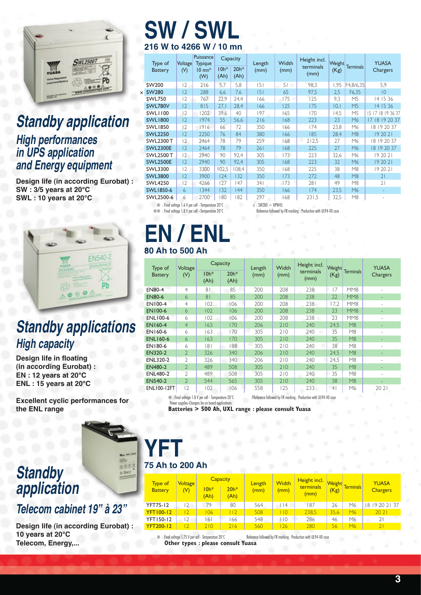

#### **Standby application High performances in UPS application and Energy equipment**

**Design life (in according Eurobat) : SW : 3/5 years at 20°C SWL : 10 years at 20°C**



## **Standby applications High capacity**

**Design life in floating (in according Eurobat) : EN : 12 years at 20°C ENL : 15 years at 20°C**

**Excellent cyclic performances for the ENL range**

## **Standby application**

#### **Telecom cabinet 19" à 23"**

**Design life (in according Eurobat) : 10 years at 20°C Telecom, Energy,...**

## **SW / SWL 216 W to 4266 W / 10 mn**

|   | Type of<br><b>Battery</b>       | Voltage<br>(V) | Puissance<br><b>Typique</b><br>$10 \text{ mm}^*$ | $10h*$ | Capacity<br>$20h*$ | Length<br>(mm) | Width<br>(mm) | Height incl.<br>terminals | (Kg) | Weight Terminals | <b>YUASA</b><br>Chargers |
|---|---------------------------------|----------------|--------------------------------------------------|--------|--------------------|----------------|---------------|---------------------------|------|------------------|--------------------------|
|   |                                 |                | (W)                                              | (Ah)   | (Ah)               |                |               | (mm)                      |      |                  |                          |
|   | SW200                           | $ 2\rangle$    | 216                                              | 5,7    | 5,8                | 5              | 51<br>-       | 98,3                      | 1,95 | F4,8/6,35        | 5,9                      |
| x | <b>SW280</b>                    | 2              | 288                                              | 6,6    | 7,6                | 5              | 65            | 97,5                      | 2,5  | F6,35            | $ 0\rangle$              |
|   | <b>SWL750</b>                   | 2              | 767                                              | 22,9   | 24,4               | 166            | 175           | 125                       | 9,3  | M <sub>5</sub>   | 14 15 36                 |
|   | SWL780V                         | 2              | 815                                              | 27.1   | 28,4               | 166            | 125           | 175                       | 0,   | M <sub>5</sub>   | 14 15 36                 |
|   | <b>SWLI100</b>                  | 2              | 1202                                             | 39,6   | 40                 | 197            | 165           | 170                       | 14,5 | M <sub>5</sub>   | 15 17 18 19 36 37        |
|   | <b>SWL1800</b>                  | 2              | 1974                                             | 55     | 56,6               | 216            | 168           | 223                       | 23   | M6               | 17 18 19 20 37           |
|   | <b>SWL1850</b>                  | 2              | 1916                                             | 66     | 72                 | 350            | 166           | 174                       | 23,8 | M6               | 18 19 20 37              |
|   | <b>SWL2250</b>                  | 2              | 2250                                             | 76     | 84                 | 380            | 166           | 185                       | 28,4 | M8               | 19 20 21                 |
|   | <b>SWL2300 T</b>                | $\overline{2}$ | 2464                                             | 78     | 79                 | 259            | 168           | 212,5                     | 27   | M6               | 18 19 20 37              |
|   | <b>SWL2300E</b>                 | 2              | 2464                                             | 78     | 79                 | 261            | 168           | 225                       | 27   | M6               | 18 19 20 37              |
|   | <b>SWL2500 T</b>                | 2              | 2940                                             | 90     | 92,4               | 305            | 173           | 223                       | 32,6 | M6               | 19 20 21                 |
|   | <b>SWL2500E</b>                 | 2              | 2940                                             | 90     | 92,4               | 305            | 168           | 223                       | 32   | M6               | 19 20 21                 |
|   | SWL3300                         | $ 2\rangle$    | 3300                                             | 102,5  | 108,4              | 350            | 168           | 225                       | 38   | M8               | 19 20 21                 |
|   | <b>SWL3800</b>                  | 2              | 3900                                             | 124    | 132                | 350            | 173           | 272                       | 48   | M8               | 21                       |
|   | <b>SWL4250</b>                  | 2              | 4266                                             | 127    | 147                | 34 I           | 173           | 281                       | 49   | M8               | 21                       |
|   | SWL1850-6                       | 6              | 1344                                             | 132    | 44                 | 350            | 166           | 174                       | 23,5 | M6               |                          |
|   | SWL2500-6                       | 6              | 2700                                             | 180    | 82                 | 297            | 168           | 231,5                     | 32,5 | M8               |                          |
|   | $-14.5$ $-11.5$ $-11.5$ $-11.5$ |                |                                                  | 0.000  |                    | A110000        | 117111177     |                           |      |                  |                          |

 $\frac{1}{2}$  : Final voltage 1.6 V per cell - Temperature 20°C x : SW280 = NPW45<br> $\frac{1}{2}$  : Final voltage 1.8 V per cell - Temperature 20°C Reference followed by:

#### Reference followed by FR marking : Production with UL94-V0 case

## **EN / ENL 80 Ah to 500 Ah**

| Type of            | Voltage                  | Capacity                                                 |                | Length | Width | Height incl.                                                     | Weight         |                  | <b>YUASA</b><br>Chargers<br>$\overline{\phantom{0}}$<br>2021 |
|--------------------|--------------------------|----------------------------------------------------------|----------------|--------|-------|------------------------------------------------------------------|----------------|------------------|--------------------------------------------------------------|
| <b>Battery</b>     | (V)                      | $10h*$<br>(Ah)                                           | $20h*$<br>(Ah) | (mm)   | (mm)  | terminals<br>(mm)                                                | (Kg)           | <b>Terminals</b> |                                                              |
| <b>EN80-4</b>      | $\overline{4}$           | 81                                                       | 85             | 200    | 208   | 238                                                              | 17             | MM <sub>8</sub>  |                                                              |
| <b>EN80-6</b>      | 6                        | 8 <sub>1</sub>                                           | 85             | 200    | 208   | 238                                                              | 22             | MM8              |                                                              |
| EN100-4            | $\overline{4}$           | 102                                                      | 106            | 200    | 208   | 238                                                              | 17,2           | MM <sub>8</sub>  |                                                              |
| <b>EN100-6</b>     | 6                        | 102                                                      | 106            | 200    | 208   | 238                                                              | 23             | MM <sub>8</sub>  |                                                              |
| <b>ENL100-6</b>    | 6                        | 102                                                      | 106            | 200    | 208   | 238                                                              | 23             | MM8              |                                                              |
| <b>EN160-4</b>     | $\overline{4}$           | 163                                                      | 170            | 206    | 210   | 240                                                              | 24,5           | M8               |                                                              |
| EN160-6            | 6                        | 163                                                      | 170            | 305    | 210   | 240                                                              | 35             | M8               |                                                              |
| <b>ENL160-6</b>    | 6                        | 163                                                      | 170            | 305    | 210   | 240                                                              | 35             | M8               |                                                              |
| EN180-6            | 6                        | 181                                                      | 88             | 305    | 210   | 240                                                              | 38             | M8               |                                                              |
| <b>EN320-2</b>     | $\mathfrak{D}$           | 326                                                      | 340            | 206    | 210   | 240                                                              | 24,5           | M8               |                                                              |
| <b>ENL320-2</b>    | V                        | 326                                                      | 340            | 206    | 210   | 240                                                              | 24.5           | M8               |                                                              |
| <b>EN480-2</b>     | $\mathfrak{D}$           | 489                                                      | 508            | 305    | 210   | 240                                                              | 35             | M8               |                                                              |
| <b>ENL480-2</b>    | $\mathfrak{D}$           | 489                                                      | 508            | 305    | 210   | 240                                                              | 35             | M8               |                                                              |
| <b>EN540-2</b>     | $\overline{\phantom{a}}$ | 544                                                      | 565            | 305    | 210   | 240                                                              | 38             | M8               |                                                              |
| <b>ENL100-12FT</b> | 2                        | 102                                                      | 106            | 558    | 125   | 233                                                              | 4 <sub>1</sub> | M6               |                                                              |
|                    |                          | $\div$ : Final voltage 1.8 V per cell - Temperature 20°C |                |        |       | FReference followed by FR marking : Production with UL94-VO case |                |                  |                                                              |

Power supplies-Chargers for on board applications

**Batteries > 500 Ah, UXL range : please consult Yuasa**

## **YFT 75 Ah to 200 Ah**

| <b>Type of</b><br><b>Battery</b> | <b>Voltage</b><br>(V)    | $10h*$<br>(Ah) | <b>Capacity</b><br>$20h*$<br>(Ah) | Length<br>(mm) | Width<br>(mm) | Height incl.<br>terminals<br>(mm) | (Kg) | Weight Terminals | <b>YUASA</b><br><b>Chargers</b> |  |
|----------------------------------|--------------------------|----------------|-----------------------------------|----------------|---------------|-----------------------------------|------|------------------|---------------------------------|--|
| <b>YFT75-12</b>                  | $\mathcal{P}$            | 79             | 80                                | 564            | 14            | 187                               | 26   | M6               | 18 19 20 21 37                  |  |
| <b>YFT100-12</b>                 | $\overline{\phantom{0}}$ | 06             | 112                               | 508            | 110           | 238.5                             | 35,6 | M <sub>6</sub>   | 2021                            |  |
| <b>YFT150-12</b>                 |                          | 61             | 66                                | 548            | l 10          | 286                               | 46   | M6               | $\overline{2}$                  |  |
| <b>YFT200-12</b>                 |                          | 710            | 216                               | 560            | 126           | 280                               | 56   | M <sub>6</sub>   | $\overline{2}$                  |  |

❇ : Final voltage 1.75 V per cell - Temperature 20°C Reference followed by FR marking : Production with UL94-V0 case **Other types : please consult Yuasa**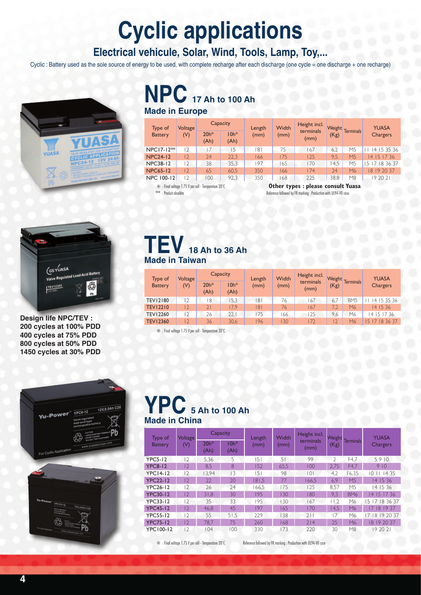# **Cyclic applications**

#### **Electrical vehicule, Solar, Wind, Tools, Lamp, Toy,...**

Cyclic : Battery used as the sole source of energy to be used, with complete recharge after each discharge (one cycle = one discharge + one recharge)



### **NPC 17 Ah to 100 Ah Made in Europe**

Type of **Battery** Voltage (V)  $\begin{array}{|c|c|c|}\n\hline\n\text{Capacity} & \text{Length} \\
\hline\n20h* & 10h* & (mm)\n\end{array}$ (mm) Width (mm) Height incl. terminals (mm)  $\frac{1}{20h^*}$  Longth Width Consumer Weight Terminals  $\begin{array}{c|c|c|c|c|c} \hline \text{C} & \text{C} & \text{C} & \text{C} \\ \hline \text{C} & \text{D} & \text{(mm)} & \text{(mm)} & \text{(mm)} & \text{(kg)} & \text{Terminals} & \text{Chargers} \end{array}$ (Ah)  $10h*$ (Ah) NPC17-12<sup>\*\*</sup> 12 17 15 181 75 167 6,2 M5 11 14 15 35 36<br>NPC24-12 12 24 22,3 166 175 125 9,5 M5 14 15 17 36 12 24 22,3 166 175 125 9,5 M5 14 15 17 36 NPC38-12 12 38 35,3 197 165 170 14,5 M5 15 17 18 36 37<br>NPC65-12 12 65 60,5 350 166 174 24 M6 18 19 20 37 NPC65-12 12 65 60,5 350 166 174 24 M6 18 19 20 37 NPC 100-12 12 100 92,3 350 168 225 38,8 M8 19 20 21

❇ : Final voltage 1.75 V per cell - Temperature 20°C **Other types : please consult Yuasa** Reference followed by FR marking : Production with UL94-V0 case

Weight



**Design life NPC/TEV : 200 cycles at 100% PDD 400 cycles at 75% PDD 800 cycles at 50% PDD 1450 cycles at 30% PDD**

### **TEV 18 Ah to 36 Ah Made in Taiwan**

| Type of         | Capacity<br>Voltage |                | Length         | Width | Height incl. |                   | Weight<br>Terminals | <b>YUASA</b>    |                              |  |
|-----------------|---------------------|----------------|----------------|-------|--------------|-------------------|---------------------|-----------------|------------------------------|--|
| <b>Battery</b>  | (V)                 | $20h*$<br>(Ah) | $10h*$<br>(Ah) | (mm)  | (mm)         | terminals<br>(mm) | (Kg)                |                 | <b>Chargers</b>              |  |
| <b>TEV12180</b> | 2                   | 8              | 15.3           | 181   | 76           | <sup>67</sup>     | 6.7                 | BM <sub>5</sub> | 4 15 35 36                   |  |
| <b>TEV12210</b> | $\overline{12}$     |                | 17.9           | 8     | 76           | 67                | 7.2                 | M <sub>6</sub>  | 4 15 36                      |  |
| <b>TEV12260</b> | $\overline{2}$      | 26             | 22.1           | 175   | 66           | 125               | 9.6                 | M6              | 4 15 17 36                   |  |
| <b>TEV12360</b> | $\overline{12}$     | 36             | 30,6           | 196   | 30           | 172               | $\overline{12}$     | M6              | 5 <sub>1</sub><br>7 18 36 37 |  |

❇ : Final voltage 1.75 V per cell - Temperature 20°C



### **YPC 5 Ah to 100 Ah Made in China**

| Type of          | <b>Voltage</b> | Capacity       |                | Length | Width | Height incl.      | Weight         |                  | <b>YUASA</b><br><b>Chargers</b><br>5910<br>910<br>14 35<br>I O<br>14 15 36<br>14 15 36<br>15 17 36<br>$\overline{4}$<br>15 17 18 36 37<br>8 19 37<br>17 18 19 20 37 |  |
|------------------|----------------|----------------|----------------|--------|-------|-------------------|----------------|------------------|---------------------------------------------------------------------------------------------------------------------------------------------------------------------|--|
| <b>Battery</b>   | (V)            | $20h*$<br>(Ah) | $10h*$<br>(Ah) | (mm)   | (mm)  | terminals<br>(mm) | (Kg)           | <b>Terminals</b> |                                                                                                                                                                     |  |
| <b>YPC5-12</b>   | $\sqrt{2}$     | 5,36           | 5              | 151    | 51    | 99                | $\mathcal{D}$  | F4.7             |                                                                                                                                                                     |  |
| <b>YPC8-12</b>   | $\overline{2}$ | 8,5            | 8              | 152    | 65,5  | 100               | 2,75           | F4,7             |                                                                                                                                                                     |  |
| <b>YPC14-12</b>  | 2              | 3.94           | $\overline{3}$ | 51     | 98    | 0                 | 4.2            | F6.35            |                                                                                                                                                                     |  |
| <b>YPC22-12</b>  | $\overline{2}$ | 22             | 20             | 181,5  | 77    | 166.5             | 6.9            | M <sub>5</sub>   |                                                                                                                                                                     |  |
| <b>YPC26-12</b>  | $\sqrt{2}$     | 26             | 24             | 166.5  | 175   | 125               | 8.57           | M <sub>5</sub>   |                                                                                                                                                                     |  |
| <b>YPC30-12</b>  | $\overline{2}$ | 31.8           | 30             | 195    | 130   | 180               | 9.3            | BM <sub>6</sub>  |                                                                                                                                                                     |  |
| <b>YPC33-12</b>  | $ 2\rangle$    | 35             | 33             | 195    | 130   | 167               | 11.2           | M6               |                                                                                                                                                                     |  |
| <b>YPC45-12</b>  | $\overline{2}$ | 46.8           | 45             | 197    | 165   | 170               | 14,5           | M6               |                                                                                                                                                                     |  |
| <b>YPC55-12</b>  | $ 2\rangle$    | 55             | 51.5           | 229    | 138   | 211               | $\overline{7}$ | M6               |                                                                                                                                                                     |  |
| <b>YPC75-12</b>  | $\overline{2}$ | 78.7           | 75             | 260    | 68    | 214               | 25             | M6               | 8   9 20 37                                                                                                                                                         |  |
| <b>YPC100-12</b> | $\overline{2}$ | 104            | 100            | 330    | 173   | 220               | 30             | M8               | 19 20 21                                                                                                                                                            |  |

❇ : Final voltage 1.75 V per cell - Temperature 20°C Reference followed by FR marking : Production with UL94-V0 case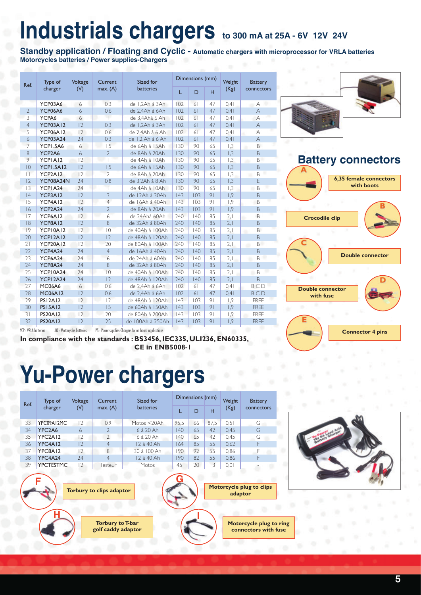# **Industrials chargers to 300 mA at 25A - 6V 12V 24V**

**Standby application / Floating and Cyclic - Automatic chargers with microprocessor for VRLA batteries Motorcycles batteries / Power supplies-Chargers**

| Ref.                 | Type of         | Voltage | Current              | Sized for        |     |     | Dimensions (mm)<br>Weight<br>(Kg)<br>H<br>47<br>0.41<br>47<br>0.41<br>47<br>0.41<br>47<br>0.41<br>47<br>0.41<br>47<br>0.41 | <b>Battery</b> |                |
|----------------------|-----------------|---------|----------------------|------------------|-----|-----|----------------------------------------------------------------------------------------------------------------------------|----------------|----------------|
|                      | charger         | (V)     | max.(A)              | <b>batteries</b> | L   | D   |                                                                                                                            |                | connectors     |
|                      | YCP03A6         | 6       | 0,3                  | de 1,2Ah à 3Ah   | 102 | 61  |                                                                                                                            |                | А              |
| $\overline{2}$       | YCP06A6         | 6       | 0,6                  | de 2.4Ah à 6Ah   | 102 | 61  |                                                                                                                            |                | $\overline{A}$ |
| 3                    | YCPA6           | 6       | $\overline{1}$       | de 3,4Ahà 6 Ah   | 102 | 61  |                                                                                                                            |                | A              |
| $\overline{4}$       | <b>YCP03A12</b> | 2       | 0,3                  | de 1,2Ah à 3Ah   | 102 | 61  |                                                                                                                            |                | $\forall$      |
| 5                    | <b>YCP06A12</b> | 2       | 0,6                  | de 2,4Ah à 6 Ah  | 102 | 61  |                                                                                                                            |                | Α              |
| 6                    | <b>YCP03A24</b> | 24      | 0,3                  | de 1,2 Ah à 6 Ah | 102 | 61  |                                                                                                                            |                | $\forall$      |
| $\overline{7}$       | YCPI.5A6        | 6       | 1,5                  | de 6Ah à 15Ah    | 130 | 90  | 65                                                                                                                         | 1,3            | B              |
| 8                    | YCP2A6          | 6       | $\overline{2}$       | de 8Ah à 20Ah    | 130 | 90  | 65                                                                                                                         | 1,3            | B              |
| 9                    | YCPIAI2         | 2       |                      | de 4Ah à 10Ah    | 130 | 90  | 65                                                                                                                         | 1,3            | B              |
| 0                    | YCPI.5A12       | 12      | 1,5                  | de 6Ah à 15Ah    | 130 | 90  | 65                                                                                                                         | 1,3            | B              |
| $\Box$               | YCP2A12         | 2       | $\overline{2}$       | de 8Ah à 20Ah    | 130 | 90  | 65                                                                                                                         | 1,3            | B              |
| 2                    | YCP08A24N       | 24      | 0,8                  | de 3,2Ah à 8 Ah  | 130 | 90  | 65                                                                                                                         | 1,3            | E              |
| 3                    | YCPIA24         | 24      |                      | de 4Ah à 10Ah    | 130 | 90  | 65                                                                                                                         | 1,3            | B<br>a         |
| 4                    | YCP3A12         | 2       | $\overline{3}$       | de 12Ah à 30Ah   | 43  | 103 | 91                                                                                                                         | 1.9            | B              |
| 15                   | YCP4A12         | 2       | $\overline{4}$<br>h. | de 16Ah à 40Ah   | 43  | 103 | 9 <sub>1</sub>                                                                                                             | 1,9            | B              |
| 16                   | YCP2A24         | 24      | $\overline{2}$       | de 8Ah à 20Ah    | 43  | 103 | 91                                                                                                                         | 1,9            | $\mathsf B$    |
| 17                   | YCP6A12         | 2       | s.<br>6              | de 24Ahà 60Ah    | 240 | 40  | 85                                                                                                                         | 2.1            | B              |
| 8                    | YCP8A12         | 12      | 8                    | de 32Ah à 80Ah   | 240 | 140 | 85                                                                                                                         | 2,1            | B              |
| 9                    | YCPI0A12        | 12      | $\overline{0}$       | de 40Ah à 100Ah  | 240 | 40  | 85                                                                                                                         | 2.1            | B<br>٠         |
| 20                   | YCPI2AI2        | 2       | 12                   | de 48Ah à 120Ah  | 240 | 140 | 85                                                                                                                         | 2,1            | B              |
| 21                   | <b>YCP20A12</b> | 12      | 20                   | de 80Ah à 100Ah  | 240 | 40  | 85                                                                                                                         | 2,1            | B              |
| 22                   | YCP4A24         | 24      | $\overline{4}$       | de 16Ah à 40Ah   | 240 | 140 | 85                                                                                                                         | 2,1            | $\mathsf B$    |
| 23                   | YCP6A24         | 24      | 6                    | de 24Ah à 60Ah   | 240 | 140 | 85                                                                                                                         | 2,1            | B              |
| 24                   | YCP8A24         | 24      | 8                    | de 32Ah à 80Ah   | 240 | 140 | 85                                                                                                                         | 2,1            | B              |
| 25                   | YCPI0A24        | 24      | $ 0\rangle$          | de 40Ah à 100Ah  | 240 | 140 | 85                                                                                                                         | 2.1            | B              |
| 26                   | YCPI2A24        | 24      | 12                   | de 48Ah à 120Ah  | 240 | 140 | 85                                                                                                                         | 2.1            | $\mathsf B$    |
| 27                   | <b>MC06A6</b>   | 6       | 0.6                  | de 2.4Ah à 6Ah   | 102 | 61  | 47                                                                                                                         | 0.41           | BCD            |
| 28                   | <b>MC06A12</b>  | 2       | 0,6                  | de 2,4Ah à 6Ah   | 102 | 61  | 47                                                                                                                         | 0.41           | <b>BCD</b>     |
| 29                   | <b>PS12A12</b>  | 2       | 12                   | de 48Ah à 120Ah  | 43  | 103 | 9 <sub>1</sub>                                                                                                             | 1,9            | <b>FREE</b>    |
| 30                   | <b>PS15A12</b>  | 2<br>15 |                      | de 60Ah à 150Ah  | 43  | 103 | 91                                                                                                                         | 1,9            | <b>FREE</b>    |
| 31                   | <b>PS20A12</b>  | 2<br>20 |                      | de 80Ah à 200Ah  | 43  | 103 | 9 <sub>1</sub>                                                                                                             | 1,9            | <b>FREE</b>    |
| 32<br><b>PS20A12</b> |                 | 2       | 25                   | de 100Ah à 250Ah | 43  | 103 | 91                                                                                                                         | 1,9            | <b>FREE</b>    |



#### **Battery connectors**



YCP : VRLA batteries MC : Motorcycles batteries PS : Power supplies-Chargers for on board applications

**In compliance with the standards : BS3456, IEC335, ULI236, EN60335, CE in ENB5008-1**

# **Yu-Power chargers**

| Ref. |                                                                                                         | Type of                          | Voltage           | Current        | Sized for             | Dimensions (mm) |    |      | Weight | <b>Battery</b> |  |  |  |
|------|---------------------------------------------------------------------------------------------------------|----------------------------------|-------------------|----------------|-----------------------|-----------------|----|------|--------|----------------|--|--|--|
|      |                                                                                                         | charger                          | (V)               | max.(A)        | <b>batteries</b>      | L               | D  | H    | (Kg)   | connectors     |  |  |  |
|      | 33                                                                                                      | YPC09A12MC                       | 2                 | 0.9            | Motos <20Ah           | 95,5            | 66 | 87.5 | 0.51   | G              |  |  |  |
|      | 34                                                                                                      | YPC <sub>2</sub> A <sub>6</sub>  | 6                 | $\mathcal{P}$  | $6$ $\lambda$ $20$ Ah | $ 40\rangle$    | 65 | 42   | 0,45   | G              |  |  |  |
|      | 35                                                                                                      | YPC <sub>2</sub> A <sub>12</sub> | 2                 | $\mathcal{P}$  | 6 à 20 Ah             | 140             | 65 | 42   | 0.45   | G              |  |  |  |
|      | 36                                                                                                      | YPC4A12                          | 2                 | $\overline{4}$ | 12 à 40 Ah            | 164             | 85 | 55   | 0,62   | F              |  |  |  |
|      | 37                                                                                                      | YPC8A12                          | $\vert 2 \rangle$ | $\mathcal{B}$  | 30 à 100 Ah           | 190             | 97 | 55   | 0.86   | F              |  |  |  |
|      | 38                                                                                                      | YPC4A24<br>74<br>$\overline{4}$  |                   | 12 à 40 Ah     | 190                   | 82              | 55 | 0,86 | F      |                |  |  |  |
|      | 39                                                                                                      | <b>YPCTESTMC</b>                 | 2                 | Testeur        | Motos                 | 45              | 20 | 3    | 0,01   |                |  |  |  |
|      | Motorcycle plug to clips<br>Torbury to clips adaptor<br>adaptor                                         |                                  |                   |                |                       |                 |    |      |        |                |  |  |  |
|      | <b>Torbury to T-bar</b><br><b>Motorcycle plug to ring</b><br>golf caddy adaptor<br>connectors with fuse |                                  |                   |                |                       |                 |    |      |        |                |  |  |  |

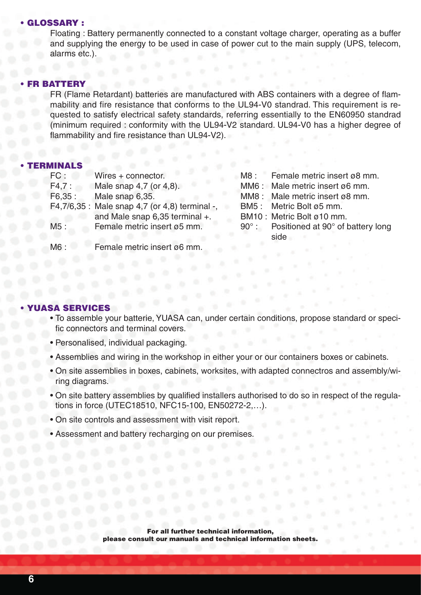#### • GLOSSARY :

Floating : Battery permanently connected to a constant voltage charger, operating as a buffer and supplying the energy to be used in case of power cut to the main supply (UPS, telecom, alarms etc.).

#### **FR BATTERY**

FR (Flame Retardant) batteries are manufactured with ABS containers with a degree of flammability and fire resistance that conforms to the UL94-V0 standrad. This requirement is requested to satisfy electrical safety standards, referring essentially to the EN60950 standrad (minimum required : conformity with the UL94-V2 standard. UL94-V0 has a higher degree of flammability and fire resistance than UL94-V2).

#### • TERMINALS

| FC:    | Wires + connector.                             | M8: Female metric insert ø8 mm.                |
|--------|------------------------------------------------|------------------------------------------------|
| F4,7:  | Male snap 4,7 (or 4,8).                        | MM6: Male metric insert ø6 mm.                 |
| F6,35: | Male snap 6,35.                                | MM8: Male metric insert ø8 mm.                 |
|        | F4,7/6,35 : Male snap 4,7 (or 4,8) terminal -, | BM5: Metric Bolt ø5 mm.                        |
|        | and Male snap 6,35 terminal +.                 | BM10: Metric Bolt ø10 mm.                      |
| M5:    | Female metric insert ø5 mm.                    | 90°: Positioned at 90° of battery long<br>side |
| M6:    | Female metric insert ø6 mm.                    |                                                |

#### **SA SERV**

- To assemble your batterie, YUASA can, under certain conditions, propose standard or specific connectors and terminal covers.
- Personalised, individual packaging.
- Assemblies and wiring in the workshop in either your or our containers boxes or cabinets.
- On site assemblies in boxes, cabinets, worksites, with adapted connectros and assembly/wiring diagrams.
- On site battery assemblies by qualified installers authorised to do so in respect of the regulations in force (UTEC18510, NFC15-100, EN50272-2,…).
- On site controls and assessment with visit report.
- Assessment and battery recharging on our premises.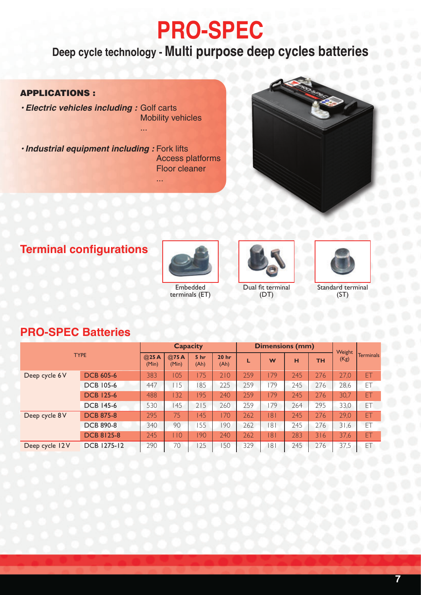# **PRO-SPEC**

### **Deep cycle technology - Multi purpose deep cycles batteries**

#### APPLICATIONS :

**• Electric vehicles including :** Golf carts Mobility vehicles

**• Industrial equipment including :** Fork lifts Access platforms Floor cleaner

...

...



#### **Terminal configurations**



Embedded terminals (ET)



Dual fit terminal (DT)



Standard terminal (ST)

#### **PRO-SPEC Batteries**

|                |                    |               |                 | <b>Capacity</b>          |     |     | <b>Dimensions (mm)</b> |           |      | Weight           |     |
|----------------|--------------------|---------------|-----------------|--------------------------|-----|-----|------------------------|-----------|------|------------------|-----|
| <b>TYPE</b>    | @25A<br>(Min)      | @75A<br>(Min) | 5 hr<br>(Ah)    | 20 <sub>hr</sub><br>(Ah) |     | W   | н                      | <b>TH</b> | (Kg) | <b>Terminals</b> |     |
| Deep cycle 6V  | <b>DCB 605-6</b>   | 383           | 105             | 75                       | 210 | 259 | 179                    | 245       | 276  | 27,0             | ET  |
|                | <b>DCB 105-6</b>   | 447           | $\overline{15}$ | 85                       | 225 | 259 | 179                    | 245       | 276  | 28,6             | ET  |
|                | <b>DCB 125-6</b>   | 488           | 132             | 195                      | 240 | 259 | 179                    | 245       | 276  | 30,7             | ET  |
|                | <b>DCB 145-6</b>   | 530           | 145             | 215                      | 260 | 259 | 179                    | 264       | 295  | 33,0             | ET  |
| Deep cycle 8V  | <b>DCB 875-8</b>   | 295           | 75              | 45                       | 170 | 262 | 8                      | 245       | 276  | 29,0             | ET. |
|                | <b>DCB 890-8</b>   | 340           | 90              | 55                       | 90  | 262 | 181                    | 245       | 276  | 31,6             | ET  |
|                | <b>DCB 8125-8</b>  | 245           | 110             | 190                      | 240 | 262 | 181                    | 283       | 316  | 37,6             | ET  |
| Deep cycle 12V | <b>DCB 1275-12</b> | 290           | 70              | 25                       | 50  | 329 | 8 <sup>1</sup>         | 245       | 276  | 37,5             | EΤ  |